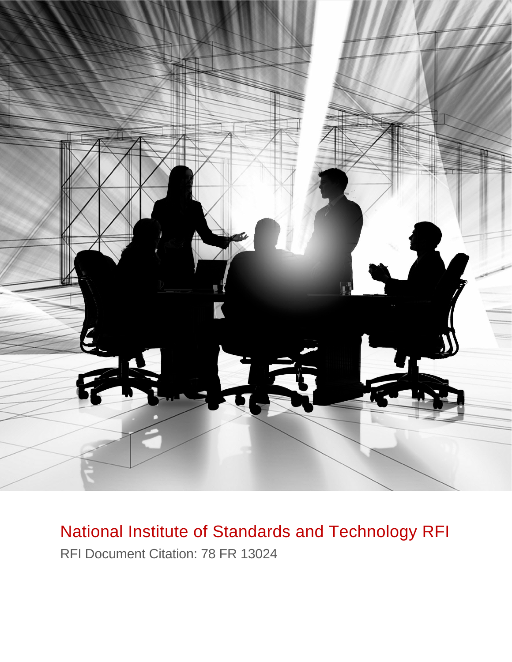

National Institute of Standards and Technology RFI RFI Document Citation: 78 FR 13024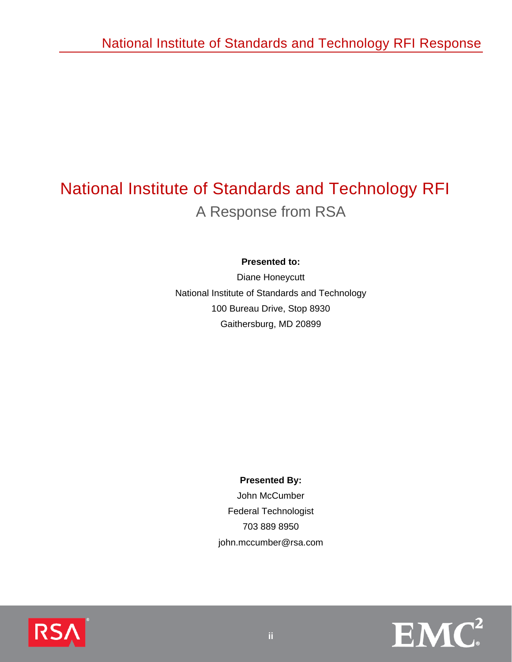# National Institute of Standards and Technology RFI A Response from RSA

#### **Presented to:**

Diane Honeycutt National Institute of Standards and Technology 100 Bureau Drive, Stop 8930 Gaithersburg, MD 20899

#### **Presented By:**

John McCumber Federal Technologist 703 889 8950 john.mccumber@rsa.com



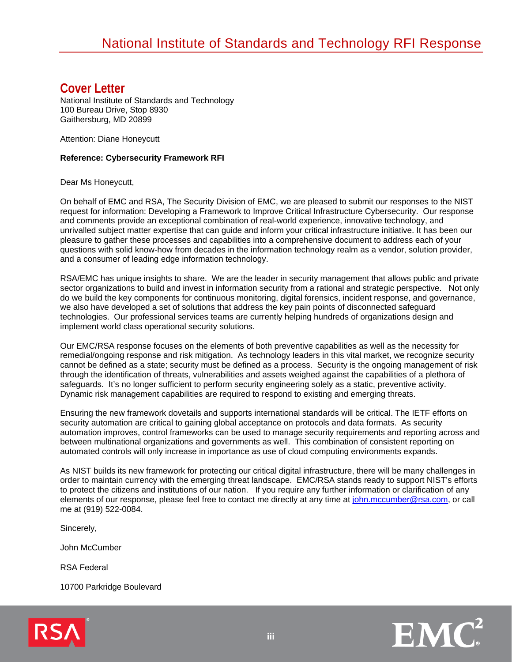### <span id="page-2-0"></span>**Cover Letter**

National Institute of Standards and Technology 100 Bureau Drive, Stop 8930 Gaithersburg, MD 20899

Attention: Diane Honeycutt

#### **Reference: Cybersecurity Framework RFI**

Dear Ms Honeycutt,

On behalf of EMC and RSA, The Security Division of EMC, we are pleased to submit our responses to the NIST request for information: Developing a Framework to Improve Critical Infrastructure Cybersecurity. Our response and comments provide an exceptional combination of real-world experience, innovative technology, and unrivalled subject matter expertise that can guide and inform your critical infrastructure initiative. It has been our pleasure to gather these processes and capabilities into a comprehensive document to address each of your questions with solid know-how from decades in the information technology realm as a vendor, solution provider, and a consumer of leading edge information technology.

RSA/EMC has unique insights to share. We are the leader in security management that allows public and private sector organizations to build and invest in information security from a rational and strategic perspective. Not only do we build the key components for continuous monitoring, digital forensics, incident response, and governance, we also have developed a set of solutions that address the key pain points of disconnected safeguard technologies. Our professional services teams are currently helping hundreds of organizations design and implement world class operational security solutions.

Our EMC/RSA response focuses on the elements of both preventive capabilities as well as the necessity for remedial/ongoing response and risk mitigation. As technology leaders in this vital market, we recognize security cannot be defined as a state; security must be defined as a process. Security is the ongoing management of risk through the identification of threats, vulnerabilities and assets weighed against the capabilities of a plethora of safeguards. It's no longer sufficient to perform security engineering solely as a static, preventive activity. Dynamic risk management capabilities are required to respond to existing and emerging threats.

Ensuring the new framework dovetails and supports international standards will be critical. The IETF efforts on security automation are critical to gaining global acceptance on protocols and data formats. As security automation improves, control frameworks can be used to manage security requirements and reporting across and between multinational organizations and governments as well. This combination of consistent reporting on automated controls will only increase in importance as use of cloud computing environments expands.

As NIST builds its new framework for protecting our critical digital infrastructure, there will be many challenges in order to maintain currency with the emerging threat landscape. EMC/RSA stands ready to support NIST's efforts to protect the citizens and institutions of our nation. If you require any further information or clarification of any elements of our response, please feel free to contact me directly at any time at [john.mccumber@rsa.com,](mailto:john.mccumber@rsa.com) or call me at (919) 522-0084.

Sincerely,

John McCumber

RSA Federal

10700 Parkridge Boulevard



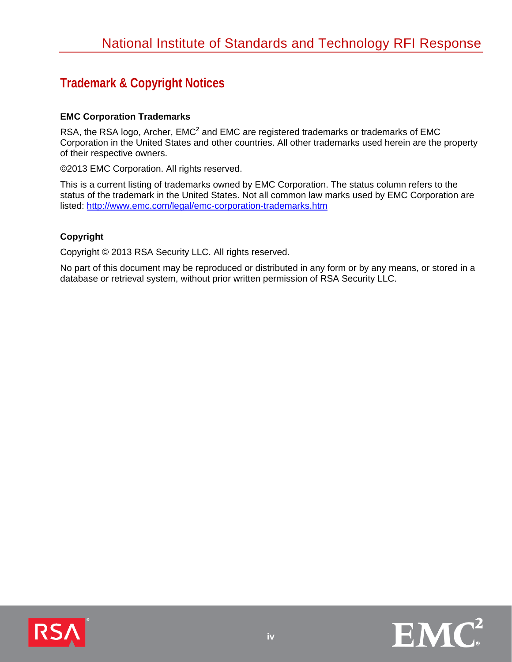# <span id="page-3-0"></span>**Trademark & Copyright Notices**

#### **EMC Corporation Trademarks**

RSA, the RSA logo, Archer,  $EMC<sup>2</sup>$  and EMC are registered trademarks or trademarks of EMC Corporation in the United States and other countries. All other trademarks used herein are the property of their respective owners.

©2013 EMC Corporation. All rights reserved.

This is a current listing of trademarks owned by EMC Corporation. The status column refers to the status of the trademark in the United States. Not all common law marks used by EMC Corporation are listed:<http://www.emc.com/legal/emc-corporation-trademarks.htm>

#### **Copyright**

Copyright © 2013 RSA Security LLC. All rights reserved.

No part of this document may be reproduced or distributed in any form or by any means, or stored in a database or retrieval system, without prior written permission of RSA Security LLC.



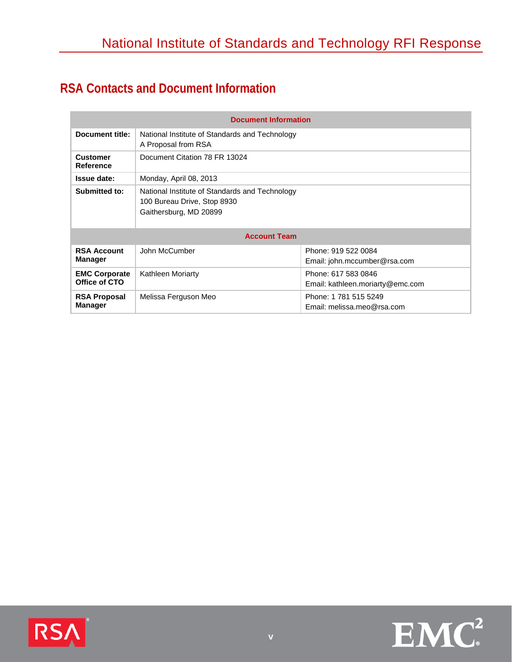# <span id="page-4-0"></span>**RSA Contacts and Document Information**

| <b>Document Information</b>           |                                                                                                         |                                                         |  |  |
|---------------------------------------|---------------------------------------------------------------------------------------------------------|---------------------------------------------------------|--|--|
| Document title:                       | National Institute of Standards and Technology<br>A Proposal from RSA                                   |                                                         |  |  |
| <b>Customer</b><br><b>Reference</b>   | Document Citation 78 FR 13024                                                                           |                                                         |  |  |
| <b>Issue date:</b>                    | Monday, April 08, 2013                                                                                  |                                                         |  |  |
| Submitted to:                         | National Institute of Standards and Technology<br>100 Bureau Drive, Stop 8930<br>Gaithersburg, MD 20899 |                                                         |  |  |
| <b>Account Team</b>                   |                                                                                                         |                                                         |  |  |
| <b>RSA Account</b><br><b>Manager</b>  | John McCumber                                                                                           | Phone: 919 522 0084<br>Email: john.mccumber@rsa.com     |  |  |
| <b>EMC Corporate</b><br>Office of CTO | <b>Kathleen Moriarty</b>                                                                                | Phone: 617 583 0846<br>Email: kathleen.moriarty@emc.com |  |  |
| <b>RSA Proposal</b><br><b>Manager</b> | Melissa Ferguson Meo                                                                                    | Phone: 1 781 515 5249<br>Email: melissa.meo@rsa.com     |  |  |



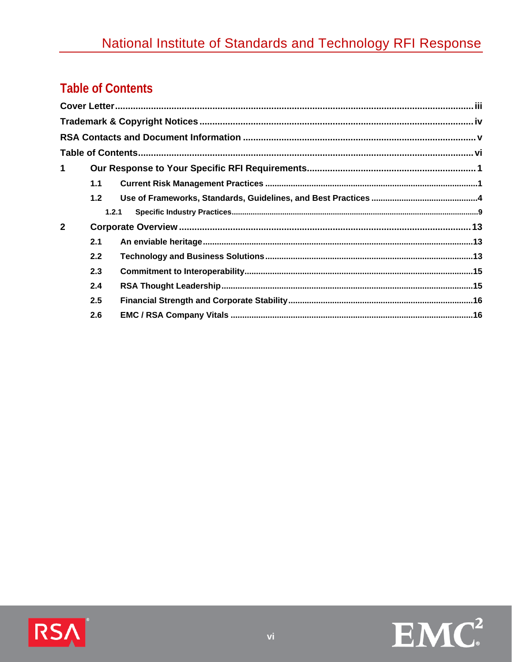# <span id="page-5-0"></span>**Table of Contents**

| 1              |     |       |  |
|----------------|-----|-------|--|
|                | 1.1 |       |  |
|                | 1.2 |       |  |
|                |     | 1.2.1 |  |
| $\overline{2}$ |     |       |  |
|                | 2.1 |       |  |
|                | 2.2 |       |  |
|                | 2.3 |       |  |
|                | 2.4 |       |  |
|                | 2.5 |       |  |
|                | 2.6 |       |  |
|                |     |       |  |



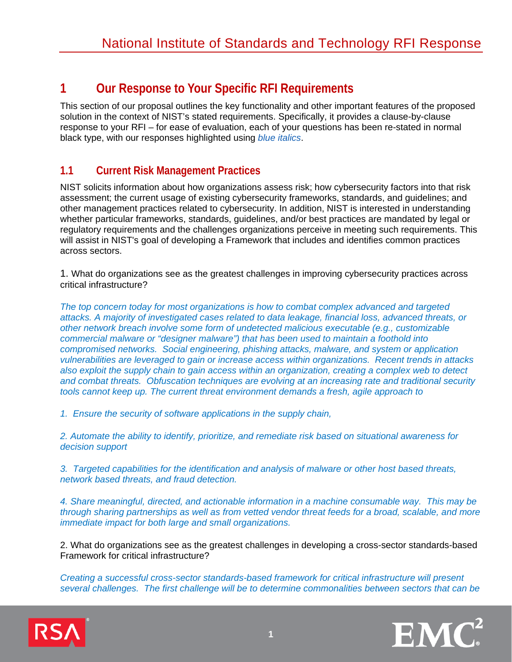## <span id="page-6-0"></span>**1 Our Response to Your Specific RFI Requirements**

This section of our proposal outlines the key functionality and other important features of the proposed solution in the context of NIST's stated requirements. Specifically, it provides a clause-by-clause response to your RFI – for ease of evaluation, each of your questions has been re-stated in normal black type, with our responses highlighted using *blue italics*.

### <span id="page-6-1"></span>**1.1 Current Risk Management Practices**

NIST solicits information about how organizations assess risk; how cybersecurity factors into that risk assessment; the current usage of existing cybersecurity frameworks, standards, and guidelines; and other management practices related to cybersecurity. In addition, NIST is interested in understanding whether particular frameworks, standards, guidelines, and/or best practices are mandated by legal or regulatory requirements and the challenges organizations perceive in meeting such requirements. This will assist in NIST's goal of developing a Framework that includes and identifies common practices across sectors.

1. What do organizations see as the greatest challenges in improving cybersecurity practices across critical infrastructure?

*The top concern today for most organizations is how to combat complex advanced and targeted attacks. A majority of investigated cases related to data leakage, financial loss, advanced threats, or other network breach involve some form of undetected malicious executable (e.g., customizable commercial malware or "designer malware") that has been used to maintain a foothold into compromised networks. Social engineering, phishing attacks, malware, and system or application vulnerabilities are leveraged to gain or increase access within organizations. Recent trends in attacks also exploit the supply chain to gain access within an organization, creating a complex web to detect and combat threats. Obfuscation techniques are evolving at an increasing rate and traditional security tools cannot keep up. The current threat environment demands a fresh, agile approach to*

*1. Ensure the security of software applications in the supply chain,* 

*2. Automate the ability to identify, prioritize, and remediate risk based on situational awareness for decision support*

*3. Targeted capabilities for the identification and analysis of malware or other host based threats, network based threats, and fraud detection.*

*4. Share meaningful, directed, and actionable information in a machine consumable way. This may be through sharing partnerships as well as from vetted vendor threat feeds for a broad, scalable, and more immediate impact for both large and small organizations.*

2. What do organizations see as the greatest challenges in developing a cross-sector standards-based Framework for critical infrastructure?

*Creating a successful cross-sector standards-based framework for critical infrastructure will present several challenges. The first challenge will be to determine commonalities between sectors that can be* 



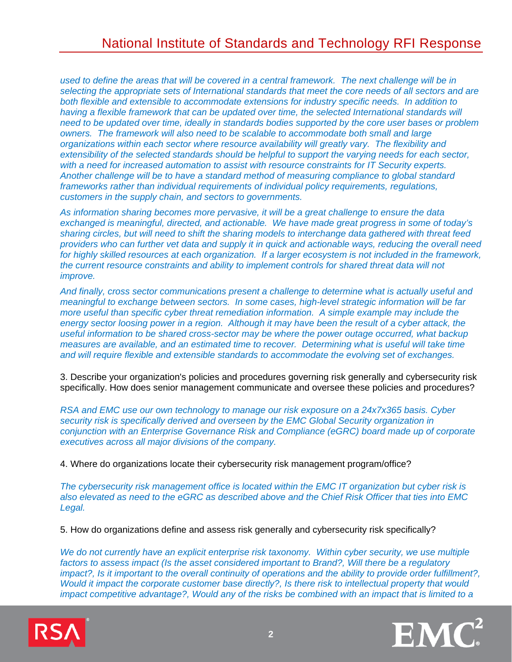*used to define the areas that will be covered in a central framework. The next challenge will be in selecting the appropriate sets of International standards that meet the core needs of all sectors and are both flexible and extensible to accommodate extensions for industry specific needs. In addition to having a flexible framework that can be updated over time, the selected International standards will need to be updated over time, ideally in standards bodies supported by the core user bases or problem owners. The framework will also need to be scalable to accommodate both small and large organizations within each sector where resource availability will greatly vary. The flexibility and extensibility of the selected standards should be helpful to support the varying needs for each sector, with a need for increased automation to assist with resource constraints for IT Security experts. Another challenge will be to have a standard method of measuring compliance to global standard frameworks rather than individual requirements of individual policy requirements, regulations, customers in the supply chain, and sectors to governments.*

*As information sharing becomes more pervasive, it will be a great challenge to ensure the data exchanged is meaningful, directed, and actionable. We have made great progress in some of today's sharing circles, but will need to shift the sharing models to interchange data gathered with threat feed providers who can further vet data and supply it in quick and actionable ways, reducing the overall need for highly skilled resources at each organization. If a larger ecosystem is not included in the framework, the current resource constraints and ability to implement controls for shared threat data will not improve.*

*And finally, cross sector communications present a challenge to determine what is actually useful and meaningful to exchange between sectors. In some cases, high-level strategic information will be far more useful than specific cyber threat remediation information. A simple example may include the energy sector loosing power in a region. Although it may have been the result of a cyber attack, the useful information to be shared cross-sector may be where the power outage occurred, what backup measures are available, and an estimated time to recover. Determining what is useful will take time and will require flexible and extensible standards to accommodate the evolving set of exchanges.*

3. Describe your organization's policies and procedures governing risk generally and cybersecurity risk specifically. How does senior management communicate and oversee these policies and procedures?

*RSA and EMC use our own technology to manage our risk exposure on a 24x7x365 basis. Cyber security risk is specifically derived and overseen by the EMC Global Security organization in conjunction with an Enterprise Governance Risk and Compliance (eGRC) board made up of corporate executives across all major divisions of the company.*

4. Where do organizations locate their cybersecurity risk management program/office?

*The cybersecurity risk management office is located within the EMC IT organization but cyber risk is also elevated as need to the eGRC as described above and the Chief Risk Officer that ties into EMC Legal.*

5. How do organizations define and assess risk generally and cybersecurity risk specifically?

*We do not currently have an explicit enterprise risk taxonomy. Within cyber security, we use multiple factors to assess impact (Is the asset considered important to Brand?, Will there be a regulatory impact?, Is it important to the overall continuity of operations and the ability to provide order fulfillment?, Would it impact the corporate customer base directly?, Is there risk to intellectual property that would impact competitive advantage?, Would any of the risks be combined with an impact that is limited to a* 



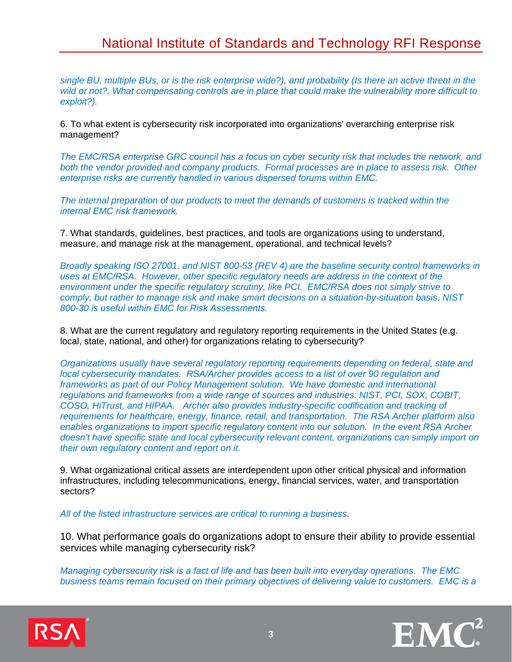*single BU, multiple BUs, or is the risk enterprise wide?), and probability (Is there an active threat in the wild or not?, What compensating controls are in place that could make the vulnerability more difficult to exploit?).*

6. To what extent is cybersecurity risk incorporated into organizations' overarching enterprise risk management?

*The EMC/RSA enterprise GRC council has a focus on cyber security risk that includes the network, and both the vendor provided and company products. Formal processes are in place to assess risk. Other enterprise risks are currently handled in various dispersed forums within EMC.*

*The internal preparation of our products to meet the demands of customers is tracked within the internal EMC risk framework.*

7. What standards, guidelines, best practices, and tools are organizations using to understand, measure, and manage risk at the management, operational, and technical levels?

*Broadly speaking ISO 27001, and NIST 800-53 (REV 4) are the baseline security control frameworks in uses at EMC/RSA. However, other specific regulatory needs are address in the context of the environment under the specific regulatory scrutiny, like PCI. EMC/RSA does not simply strive to comply, but rather to manage risk and make smart decisions on a situation-by-situation basis. NIST 800-30 is useful within EMC for Risk Assessments.*

8. What are the current regulatory and regulatory reporting requirements in the United States (e.g. local, state, national, and other) for organizations relating to cybersecurity?

*Organizations usually have several regulatory reporting requirements depending on federal, state and local cybersecurity mandates. RSA/Archer provides access to a list of over 90 regulation and frameworks as part of our Policy Management solution. We have domestic and international regulations and frameworks from a wide range of sources and industries: NIST, PCI, SOX, COBIT, COSO, HiTrust, and HIPAA. Archer also provides industry-specific codification and tracking of requirements for healthcare, energy, finance, retail, and transportation. The RSA Archer platform also*  enables organizations to import specific regulatory content into our solution. In the event RSA Archer *doesn't have specific state and local cybersecurity relevant content, organizations can simply import on their own regulatory content and report on it.*

9. What organizational critical assets are interdependent upon other critical physical and information infrastructures, including telecommunications, energy, financial services, water, and transportation sectors?

*All of the listed infrastructure services are critical to running a business.*

10. What performance goals do organizations adopt to ensure their ability to provide essential services while managing cybersecurity risk?

*Managing cybersecurity risk is a fact of life and has been built into everyday operations. The EMC business teams remain focused on their primary objectives of delivering value to customers. EMC is a* 



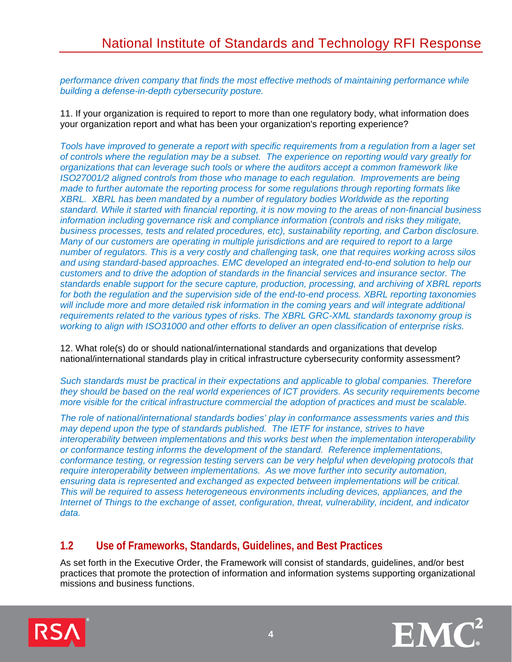*performance driven company that finds the most effective methods of maintaining performance while building a defense-in-depth cybersecurity posture.*

11. If your organization is required to report to more than one regulatory body, what information does your organization report and what has been your organization's reporting experience?

*Tools have improved to generate a report with specific requirements from a regulation from a lager set of controls where the regulation may be a subset. The experience on reporting would vary greatly for organizations that can leverage such tools or where the auditors accept a common framework like ISO27001/2 aligned controls from those who manage to each regulation. Improvements are being made to further automate the reporting process for some regulations through reporting formats like XBRL. XBRL has been mandated by a number of regulatory bodies Worldwide as the reporting standard. While it started with financial reporting, it is now moving to the areas of non-financial business information including governance risk and compliance information (controls and risks they mitigate, business processes, tests and related procedures, etc), sustainability reporting, and Carbon disclosure. Many of our customers are operating in multiple jurisdictions and are required to report to a large number of regulators. This is a very costly and challenging task, one that requires working across silos and using standard-based approaches. EMC developed an integrated end-to-end solution to help our customers and to drive the adoption of standards in the financial services and insurance sector. The standards enable support for the secure capture, production, processing, and archiving of XBRL reports for both the regulation and the supervision side of the end-to-end process. XBRL reporting taxonomies*  will include more and more detailed risk information in the coming years and will integrate additional *requirements related to the various types of risks. The XBRL GRC-XML standards taxonomy group is working to align with ISO31000 and other efforts to deliver an open classification of enterprise risks.*

12. What role(s) do or should national/international standards and organizations that develop national/international standards play in critical infrastructure cybersecurity conformity assessment?

*Such standards must be practical in their expectations and applicable to global companies. Therefore they should be based on the real world experiences of ICT providers. As security requirements become more visible for the critical infrastructure commercial the adoption of practices and must be scalable.*

*The role of national/international standards bodies' play in conformance assessments varies and this may depend upon the type of standards published. The IETF for instance, strives to have interoperability between implementations and this works best when the implementation interoperability or conformance testing informs the development of the standard. Reference implementations, conformance testing, or regression testing servers can be very helpful when developing protocols that require interoperability between implementations. As we move further into security automation, ensuring data is represented and exchanged as expected between implementations will be critical. This will be required to assess heterogeneous environments including devices, appliances, and the Internet of Things to the exchange of asset, configuration, threat, vulnerability, incident, and indicator data.*

### <span id="page-9-0"></span>**1.2 Use of Frameworks, Standards, Guidelines, and Best Practices**

As set forth in the Executive Order, the Framework will consist of standards, guidelines, and/or best practices that promote the protection of information and information systems supporting organizational missions and business functions.



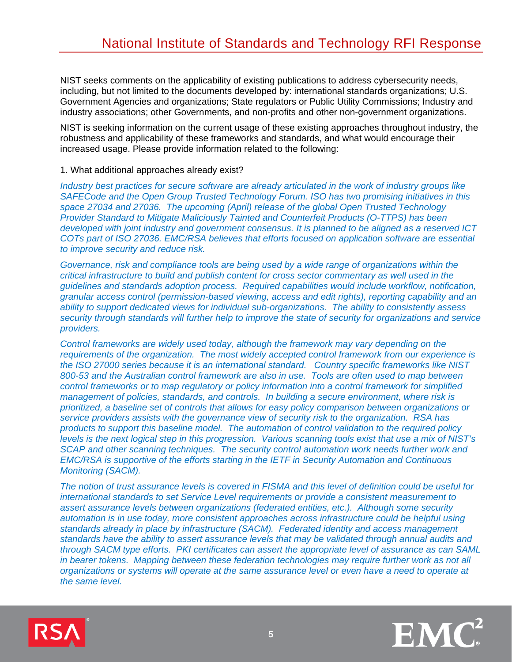NIST seeks comments on the applicability of existing publications to address cybersecurity needs, including, but not limited to the documents developed by: international standards organizations; U.S. Government Agencies and organizations; State regulators or Public Utility Commissions; Industry and industry associations; other Governments, and non-profits and other non-government organizations.

NIST is seeking information on the current usage of these existing approaches throughout industry, the robustness and applicability of these frameworks and standards, and what would encourage their increased usage. Please provide information related to the following:

#### 1. What additional approaches already exist?

*Industry best practices for secure software are already articulated in the work of industry groups like SAFECode and the Open Group Trusted Technology Forum. ISO has two promising initiatives in this space 27034 and 27036. The upcoming (April) release of the global Open Trusted Technology Provider Standard to Mitigate Maliciously Tainted and Counterfeit Products (O-TTPS) has been developed with joint industry and government consensus. It is planned to be aligned as a reserved ICT COTs part of ISO 27036. EMC/RSA believes that efforts focused on application software are essential to improve security and reduce risk.*

*Governance, risk and compliance tools are being used by a wide range of organizations within the critical infrastructure to build and publish content for cross sector commentary as well used in the guidelines and standards adoption process. Required capabilities would include workflow, notification, granular access control (permission-based viewing, access and edit rights), reporting capability and an ability to support dedicated views for individual sub-organizations. The ability to consistently assess security through standards will further help to improve the state of security for organizations and service providers.*

*Control frameworks are widely used today, although the framework may vary depending on the requirements of the organization. The most widely accepted control framework from our experience is the ISO 27000 series because it is an international standard. Country specific frameworks like NIST 800-53 and the Australian control framework are also in use. Tools are often used to map between control frameworks or to map regulatory or policy information into a control framework for simplified management of policies, standards, and controls. In building a secure environment, where risk is prioritized, a baseline set of controls that allows for easy policy comparison between organizations or service providers assists with the governance view of security risk to the organization. RSA has products to support this baseline model. The automation of control validation to the required policy levels is the next logical step in this progression. Various scanning tools exist that use a mix of NIST's SCAP and other scanning techniques. The security control automation work needs further work and EMC/RSA is supportive of the efforts starting in the IETF in Security Automation and Continuous Monitoring (SACM).* 

*The notion of trust assurance levels is covered in FISMA and this level of definition could be useful for international standards to set Service Level requirements or provide a consistent measurement to assert assurance levels between organizations (federated entities, etc.). Although some security automation is in use today, more consistent approaches across infrastructure could be helpful using standards already in place by infrastructure (SACM). Federated identity and access management standards have the ability to assert assurance levels that may be validated through annual audits and through SACM type efforts. PKI certificates can assert the appropriate level of assurance as can SAML in bearer tokens. Mapping between these federation technologies may require further work as not all organizations or systems will operate at the same assurance level or even have a need to operate at the same level.*



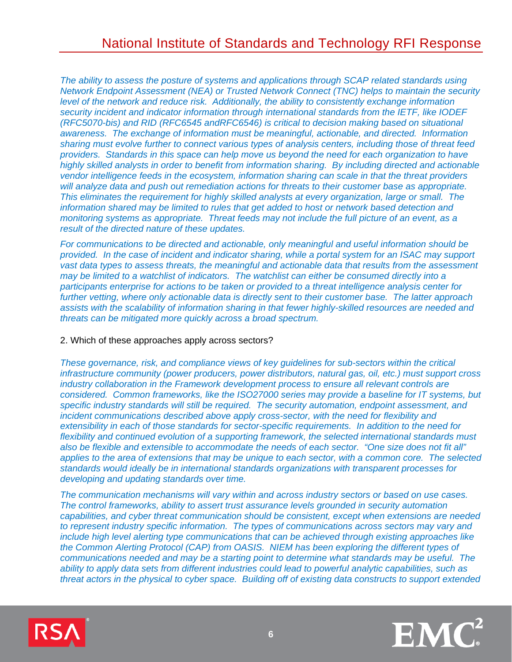*The ability to assess the posture of systems and applications through SCAP related standards using Network Endpoint Assessment (NEA) or Trusted Network Connect (TNC) helps to maintain the security level of the network and reduce risk. Additionally, the ability to consistently exchange information security incident and indicator information through international standards from the IETF, like IODEF (RFC5070-bis) and RID (RFC6545 andRFC6546) is critical to decision making based on situational awareness. The exchange of information must be meaningful, actionable, and directed. Information sharing must evolve further to connect various types of analysis centers, including those of threat feed providers. Standards in this space can help move us beyond the need for each organization to have highly skilled analysts in order to benefit from information sharing. By including directed and actionable vendor intelligence feeds in the ecosystem, information sharing can scale in that the threat providers will analyze data and push out remediation actions for threats to their customer base as appropriate. This eliminates the requirement for highly skilled analysts at every organization, large or small. The information shared may be limited to rules that get added to host or network based detection and monitoring systems as appropriate. Threat feeds may not include the full picture of an event, as a result of the directed nature of these updates.* 

*For communications to be directed and actionable, only meaningful and useful information should be provided. In the case of incident and indicator sharing, while a portal system for an ISAC may support vast data types to assess threats, the meaningful and actionable data that results from the assessment may be limited to a watchlist of indicators. The watchlist can either be consumed directly into a participants enterprise for actions to be taken or provided to a threat intelligence analysis center for further vetting, where only actionable data is directly sent to their customer base. The latter approach assists with the scalability of information sharing in that fewer highly-skilled resources are needed and threats can be mitigated more quickly across a broad spectrum.*

#### 2. Which of these approaches apply across sectors?

*These governance, risk, and compliance views of key guidelines for sub-sectors within the critical infrastructure community (power producers, power distributors, natural gas, oil, etc.) must support cross industry collaboration in the Framework development process to ensure all relevant controls are considered. Common frameworks, like the ISO27000 series may provide a baseline for IT systems, but specific industry standards will still be required. The security automation, endpoint assessment, and incident communications described above apply cross-sector, with the need for flexibility and extensibility in each of those standards for sector-specific requirements. In addition to the need for flexibility and continued evolution of a supporting framework, the selected international standards must also be flexible and extensible to accommodate the needs of each sector. "One size does not fit all" applies to the area of extensions that may be unique to each sector, with a common core. The selected standards would ideally be in international standards organizations with transparent processes for developing and updating standards over time.*

*The communication mechanisms will vary within and across industry sectors or based on use cases. The control frameworks, ability to assert trust assurance levels grounded in security automation capabilities, and cyber threat communication should be consistent, except when extensions are needed to represent industry specific information. The types of communications across sectors may vary and include high level alerting type communications that can be achieved through existing approaches like the Common Alerting Protocol (CAP) from OASIS. NIEM has been exploring the different types of communications needed and may be a starting point to determine what standards may be useful. The ability to apply data sets from different industries could lead to powerful analytic capabilities, such as threat actors in the physical to cyber space. Building off of existing data constructs to support extended* 



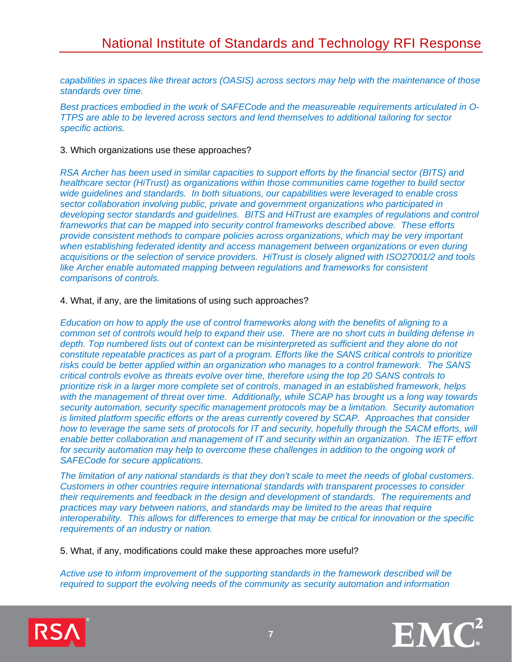*capabilities in spaces like threat actors (OASIS) across sectors may help with the maintenance of those standards over time.*

*Best practices embodied in the work of SAFECode and the measureable requirements articulated in O-TTPS are able to be levered across sectors and lend themselves to additional tailoring for sector specific actions.*

#### 3. Which organizations use these approaches?

*RSA Archer has been used in similar capacities to support efforts by the financial sector (BITS) and healthcare sector (HiTrust) as organizations within those communities came together to build sector wide guidelines and standards. In both situations, our capabilities were leveraged to enable cross sector collaboration involving public, private and government organizations who participated in developing sector standards and guidelines. BITS and HiTrust are examples of regulations and control frameworks that can be mapped into security control frameworks described above. These efforts provide consistent methods to compare policies across organizations, which may be very important when establishing federated identity and access management between organizations or even during acquisitions or the selection of service providers. HiTrust is closely aligned with ISO27001/2 and tools like Archer enable automated mapping between regulations and frameworks for consistent comparisons of controls.*

#### 4. What, if any, are the limitations of using such approaches?

*Education on how to apply the use of control frameworks along with the benefits of aligning to a common set of controls would help to expand their use. There are no short cuts in building defense in depth. Top numbered lists out of context can be misinterpreted as sufficient and they alone do not constitute repeatable practices as part of a program. Efforts like the SANS critical controls to prioritize risks could be better applied within an organization who manages to a control framework. The SANS critical controls evolve as threats evolve over time, therefore using the top 20 SANS controls to prioritize risk in a larger more complete set of controls, managed in an established framework, helps with the management of threat over time. Additionally, while SCAP has brought us a long way towards security automation, security specific management protocols may be a limitation. Security automation is limited platform specific efforts or the areas currently covered by SCAP. Approaches that consider how to leverage the same sets of protocols for IT and security, hopefully through the SACM efforts, will enable better collaboration and management of IT and security within an organization. The IETF effort*  for security automation may help to overcome these challenges in addition to the ongoing work of *SAFECode for secure applications.*

*The limitation of any national standards is that they don't scale to meet the needs of global customers. Customers in other countries require international standards with transparent processes to consider their requirements and feedback in the design and development of standards. The requirements and practices may vary between nations, and standards may be limited to the areas that require interoperability. This allows for differences to emerge that may be critical for innovation or the specific requirements of an industry or nation.*

5. What, if any, modifications could make these approaches more useful?

*Active use to inform improvement of the supporting standards in the framework described will be required to support the evolving needs of the community as security automation and information* 



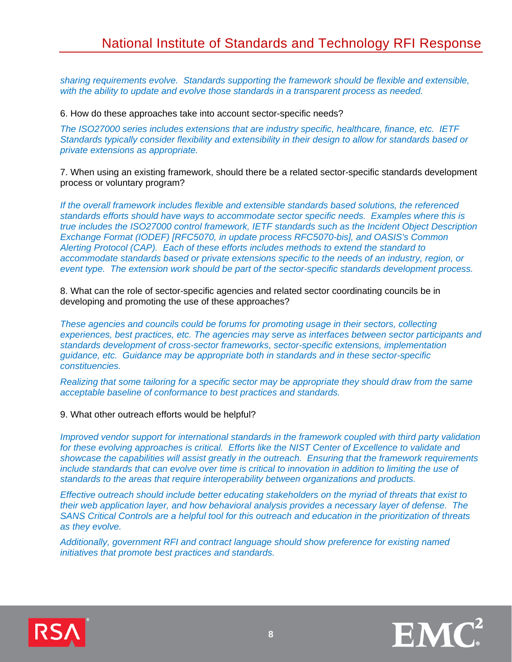*sharing requirements evolve. Standards supporting the framework should be flexible and extensible, with the ability to update and evolve those standards in a transparent process as needed.* 

6. How do these approaches take into account sector-specific needs?

*The ISO27000 series includes extensions that are industry specific, healthcare, finance, etc. IETF Standards typically consider flexibility and extensibility in their design to allow for standards based or private extensions as appropriate.*

7. When using an existing framework, should there be a related sector-specific standards development process or voluntary program?

*If the overall framework includes flexible and extensible standards based solutions, the referenced standards efforts should have ways to accommodate sector specific needs. Examples where this is true includes the ISO27000 control framework, IETF standards such as the Incident Object Description Exchange Format (IODEF) [RFC5070, in update process RFC5070-bis], and OASIS's Common Alerting Protocol (CAP). Each of these efforts includes methods to extend the standard to accommodate standards based or private extensions specific to the needs of an industry, region, or event type. The extension work should be part of the sector-specific standards development process.*

8. What can the role of sector-specific agencies and related sector coordinating councils be in developing and promoting the use of these approaches?

*These agencies and councils could be forums for promoting usage in their sectors, collecting experiences, best practices, etc. The agencies may serve as interfaces between sector participants and standards development of cross-sector frameworks, sector-specific extensions, implementation guidance, etc. Guidance may be appropriate both in standards and in these sector-specific constituencies.*

*Realizing that some tailoring for a specific sector may be appropriate they should draw from the same acceptable baseline of conformance to best practices and standards.*

9. What other outreach efforts would be helpful?

*Improved vendor support for international standards in the framework coupled with third party validation for these evolving approaches is critical. Efforts like the NIST Center of Excellence to validate and showcase the capabilities will assist greatly in the outreach. Ensuring that the framework requirements include standards that can evolve over time is critical to innovation in addition to limiting the use of standards to the areas that require interoperability between organizations and products.*

*Effective outreach should include better educating stakeholders on the myriad of threats that exist to their web application layer, and how behavioral analysis provides a necessary layer of defense. The SANS Critical Controls are a helpful tool for this outreach and education in the prioritization of threats as they evolve.*

*Additionally, government RFI and contract language should show preference for existing named initiatives that promote best practices and standards.*



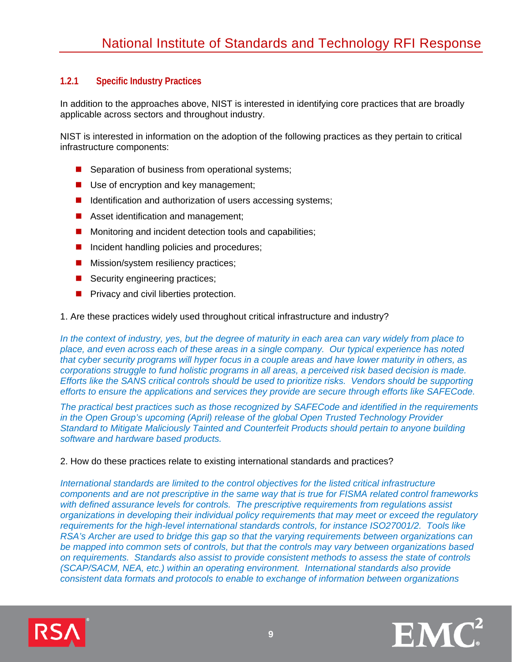#### <span id="page-14-0"></span>**1.2.1 Specific Industry Practices**

In addition to the approaches above, NIST is interested in identifying core practices that are broadly applicable across sectors and throughout industry.

NIST is interested in information on the adoption of the following practices as they pertain to critical infrastructure components:

- Separation of business from operational systems;
- Use of encryption and key management;
- $\blacksquare$  Identification and authorization of users accessing systems;
- Asset identification and management;
- $\blacksquare$  Monitoring and incident detection tools and capabilities;
- Incident handling policies and procedures;
- **Mission/system resiliency practices;**
- Security engineering practices;
- **Privacy and civil liberties protection.**

1. Are these practices widely used throughout critical infrastructure and industry?

*In the context of industry, yes, but the degree of maturity in each area can vary widely from place to place, and even across each of these areas in a single company. Our typical experience has noted that cyber security programs will hyper focus in a couple areas and have lower maturity in others, as corporations struggle to fund holistic programs in all areas, a perceived risk based decision is made. Efforts like the SANS critical controls should be used to prioritize risks. Vendors should be supporting efforts to ensure the applications and services they provide are secure through efforts like SAFECode.*

*The practical best practices such as those recognized by SAFECode and identified in the requirements in the Open Group's upcoming (April) release of the global Open Trusted Technology Provider Standard to Mitigate Maliciously Tainted and Counterfeit Products should pertain to anyone building software and hardware based products.*

#### 2. How do these practices relate to existing international standards and practices?

*International standards are limited to the control objectives for the listed critical infrastructure components and are not prescriptive in the same way that is true for FISMA related control frameworks with defined assurance levels for controls. The prescriptive requirements from regulations assist organizations in developing their individual policy requirements that may meet or exceed the regulatory requirements for the high-level international standards controls, for instance ISO27001/2. Tools like RSA's Archer are used to bridge this gap so that the varying requirements between organizations can be mapped into common sets of controls, but that the controls may vary between organizations based on requirements. Standards also assist to provide consistent methods to assess the state of controls (SCAP/SACM, NEA, etc.) within an operating environment. International standards also provide consistent data formats and protocols to enable to exchange of information between organizations* 



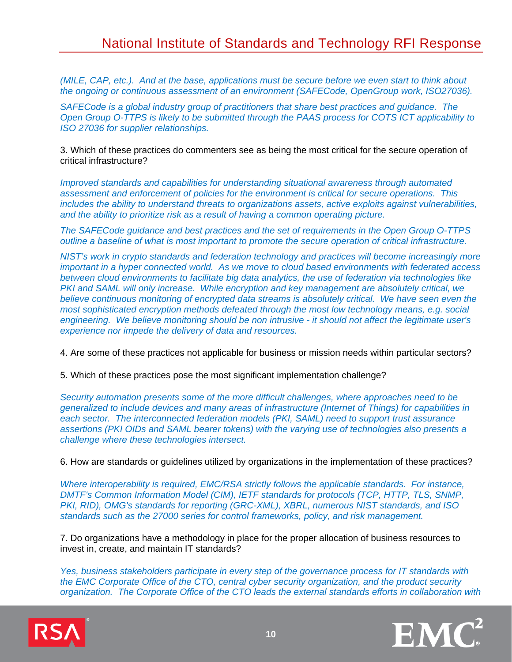*(MILE, CAP, etc.). And at the base, applications must be secure before we even start to think about the ongoing or continuous assessment of an environment (SAFECode, OpenGroup work, ISO27036).* 

*SAFECode is a global industry group of practitioners that share best practices and guidance. The Open Group O-TTPS is likely to be submitted through the PAAS process for COTS ICT applicability to ISO 27036 for supplier relationships.*

3. Which of these practices do commenters see as being the most critical for the secure operation of critical infrastructure?

*Improved standards and capabilities for understanding situational awareness through automated assessment and enforcement of policies for the environment is critical for secure operations. This includes the ability to understand threats to organizations assets, active exploits against vulnerabilities, and the ability to prioritize risk as a result of having a common operating picture.* 

*The SAFECode guidance and best practices and the set of requirements in the Open Group O-TTPS outline a baseline of what is most important to promote the secure operation of critical infrastructure.*

*NIST's work in crypto standards and federation technology and practices will become increasingly more important in a hyper connected world. As we move to cloud based environments with federated access between cloud environments to facilitate big data analytics, the use of federation via technologies like PKI and SAML will only increase. While encryption and key management are absolutely critical, we*  believe continuous monitoring of encrypted data streams is absolutely critical. We have seen even the *most sophisticated encryption methods defeated through the most low technology means, e.g. social engineering. We believe monitoring should be non intrusive - it should not affect the legitimate user's experience nor impede the delivery of data and resources.*

4. Are some of these practices not applicable for business or mission needs within particular sectors?

5. Which of these practices pose the most significant implementation challenge?

*Security automation presents some of the more difficult challenges, where approaches need to be generalized to include devices and many areas of infrastructure (Internet of Things) for capabilities in each sector. The interconnected federation models (PKI, SAML) need to support trust assurance assertions (PKI OIDs and SAML bearer tokens) with the varying use of technologies also presents a challenge where these technologies intersect.*

6. How are standards or guidelines utilized by organizations in the implementation of these practices?

*Where interoperability is required, EMC/RSA strictly follows the applicable standards. For instance, DMTF's Common Information Model (CIM), IETF standards for protocols (TCP, HTTP, TLS, SNMP, PKI, RID), OMG's standards for reporting (GRC-XML), XBRL, numerous NIST standards, and ISO standards such as the 27000 series for control frameworks, policy, and risk management.*

7. Do organizations have a methodology in place for the proper allocation of business resources to invest in, create, and maintain IT standards?

*Yes, business stakeholders participate in every step of the governance process for IT standards with the EMC Corporate Office of the CTO, central cyber security organization, and the product security organization. The Corporate Office of the CTO leads the external standards efforts in collaboration with* 



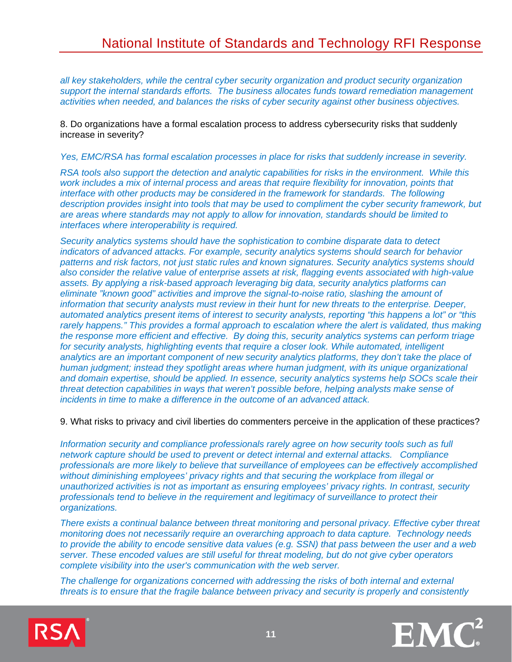*all key stakeholders, while the central cyber security organization and product security organization support the internal standards efforts. The business allocates funds toward remediation management activities when needed, and balances the risks of cyber security against other business objectives.*

8. Do organizations have a formal escalation process to address cybersecurity risks that suddenly increase in severity?

*Yes, EMC/RSA has formal escalation processes in place for risks that suddenly increase in severity.*

*RSA tools also support the detection and analytic capabilities for risks in the environment. While this*  work includes a mix of internal process and areas that require flexibility for innovation, points that *interface with other products may be considered in the framework for standards. The following description provides insight into tools that may be used to compliment the cyber security framework, but are areas where standards may not apply to allow for innovation, standards should be limited to interfaces where interoperability is required.* 

*Security analytics systems should have the sophistication to combine disparate data to detect indicators of advanced attacks. For example, security analytics systems should search for behavior patterns and risk factors, not just static rules and known signatures. Security analytics systems should also consider the relative value of enterprise assets at risk, flagging events associated with high-value assets. By applying a risk-based approach leveraging big data, security analytics platforms can eliminate "known good" activities and improve the signal-to-noise ratio, slashing the amount of information that security analysts must review in their hunt for new threats to the enterprise. Deeper, automated analytics present items of interest to security analysts, reporting "this happens a lot" or "this rarely happens." This provides a formal approach to escalation where the alert is validated, thus making the response more efficient and effective. By doing this, security analytics systems can perform triage*  for security analysts, highlighting events that require a closer look. While automated, intelligent *analytics are an important component of new security analytics platforms, they don't take the place of human judgment; instead they spotlight areas where human judgment, with its unique organizational and domain expertise, should be applied. In essence, security analytics systems help SOCs scale their threat detection capabilities in ways that weren't possible before, helping analysts make sense of incidents in time to make a difference in the outcome of an advanced attack.*

9. What risks to privacy and civil liberties do commenters perceive in the application of these practices?

*Information security and compliance professionals rarely agree on how security tools such as full network capture should be used to prevent or detect internal and external attacks. Compliance professionals are more likely to believe that surveillance of employees can be effectively accomplished without diminishing employees' privacy rights and that securing the workplace from illegal or unauthorized activities is not as important as ensuring employees' privacy rights. In contrast, security professionals tend to believe in the requirement and legitimacy of surveillance to protect their organizations.*

*There exists a continual balance between threat monitoring and personal privacy. Effective cyber threat monitoring does not necessarily require an overarching approach to data capture. Technology needs to provide the ability to encode sensitive data values (e.g. SSN) that pass between the user and a web server. These encoded values are still useful for threat modeling, but do not give cyber operators complete visibility into the user's communication with the web server.*

*The challenge for organizations concerned with addressing the risks of both internal and external threats is to ensure that the fragile balance between privacy and security is properly and consistently* 



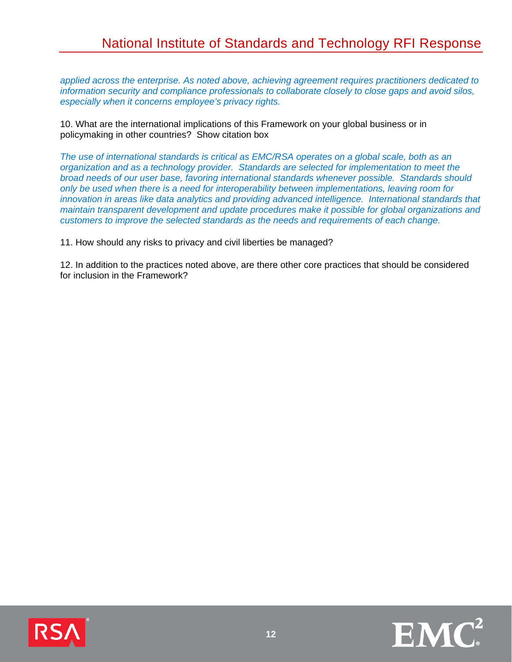*applied across the enterprise. As noted above, achieving agreement requires practitioners dedicated to information security and compliance professionals to collaborate closely to close gaps and avoid silos, especially when it concerns employee's privacy rights.*

10. What are the international implications of this Framework on your global business or in policymaking in other countries? Show citation box

*The use of international standards is critical as EMC/RSA operates on a global scale, both as an organization and as a technology provider. Standards are selected for implementation to meet the broad needs of our user base, favoring international standards whenever possible. Standards should only be used when there is a need for interoperability between implementations, leaving room for innovation in areas like data analytics and providing advanced intelligence. International standards that maintain transparent development and update procedures make it possible for global organizations and customers to improve the selected standards as the needs and requirements of each change.*

11. How should any risks to privacy and civil liberties be managed?

12. In addition to the practices noted above, are there other core practices that should be considered for inclusion in the Framework?



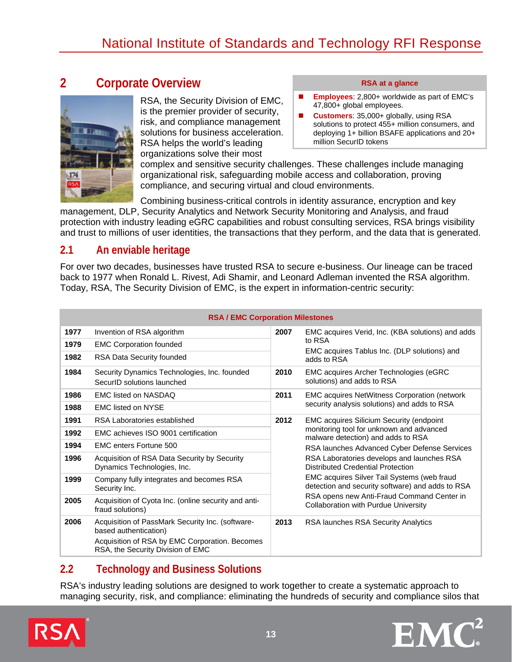### <span id="page-18-0"></span>**2 Corporate Overview**



RSA, the Security Division of EMC, is the premier provider of security, risk, and compliance management solutions for business acceleration. RSA helps the world's leading organizations solve their most

**RSA at a glance**

- **Employees**: 2,800+ worldwide as part of EMC's 47,800+ global employees.
- **Customers**: 35,000+ globally, using RSA solutions to protect 455+ million consumers, and deploying 1+ billion BSAFE applications and 20+ million SecurID tokens

complex and sensitive security challenges. These challenges include managing organizational risk, safeguarding mobile access and collaboration, proving compliance, and securing virtual and cloud environments.

Combining business-critical controls in identity assurance, encryption and key

management, DLP, Security Analytics and Network Security Monitoring and Analysis, and fraud protection with industry leading eGRC capabilities and robust consulting services, RSA brings visibility and trust to millions of user identities, the transactions that they perform, and the data that is generated.

### <span id="page-18-1"></span>**2.1 An enviable heritage**

For over two decades, businesses have trusted RSA to secure e-business. Our lineage can be traced back to 1977 when Ronald L. Rivest, Adi Shamir, and Leonard Adleman invented the RSA algorithm. Today, RSA, The Security Division of EMC, is the expert in information-centric security:

| <b>RSA / EMC Corporation Milestones</b> |                                                                                                                                                                  |      |                                                                                                 |  |
|-----------------------------------------|------------------------------------------------------------------------------------------------------------------------------------------------------------------|------|-------------------------------------------------------------------------------------------------|--|
| 1977                                    | Invention of RSA algorithm                                                                                                                                       | 2007 | EMC acquires Verid, Inc. (KBA solutions) and adds                                               |  |
| 1979                                    | <b>EMC Corporation founded</b>                                                                                                                                   |      | to RSA                                                                                          |  |
| 1982                                    | RSA Data Security founded                                                                                                                                        |      | EMC acquires Tablus Inc. (DLP solutions) and<br>adds to RSA                                     |  |
| 1984                                    | Security Dynamics Technologies, Inc. founded<br>SecurID solutions launched                                                                                       | 2010 | EMC acquires Archer Technologies (eGRC<br>solutions) and adds to RSA                            |  |
| 1986                                    | <b>EMC listed on NASDAQ</b>                                                                                                                                      | 2011 | <b>EMC acquires NetWitness Corporation (network</b>                                             |  |
| 1988                                    | <b>EMC listed on NYSE</b>                                                                                                                                        |      | security analysis solutions) and adds to RSA                                                    |  |
| 1991                                    | RSA Laboratories established                                                                                                                                     | 2012 | <b>EMC acquires Silicium Security (endpoint</b>                                                 |  |
| 1992                                    | EMC achieves ISO 9001 certification                                                                                                                              |      | monitoring tool for unknown and advanced<br>malware detection) and adds to RSA                  |  |
| 1994                                    | EMC enters Fortune 500                                                                                                                                           |      | RSA launches Advanced Cyber Defense Services                                                    |  |
| 1996                                    | Acquisition of RSA Data Security by Security<br>Dynamics Technologies, Inc.                                                                                      |      | RSA Laboratories develops and launches RSA<br>Distributed Credential Protection                 |  |
| 1999                                    | Company fully integrates and becomes RSA<br>Security Inc.                                                                                                        |      | EMC acquires Silver Tail Systems (web fraud<br>detection and security software) and adds to RSA |  |
| 2005                                    | Acquisition of Cyota Inc. (online security and anti-<br>fraud solutions)                                                                                         |      | RSA opens new Anti-Fraud Command Center in<br><b>Collaboration with Purdue University</b>       |  |
| 2006                                    | Acquisition of PassMark Security Inc. (software-<br>based authentication)<br>Acquisition of RSA by EMC Corporation. Becomes<br>RSA, the Security Division of EMC | 2013 | RSA launches RSA Security Analytics                                                             |  |

### <span id="page-18-2"></span>**2.2 Technology and Business Solutions**

RSA's industry leading solutions are designed to work together to create a systematic approach to managing security, risk, and compliance: eliminating the hundreds of security and compliance silos that



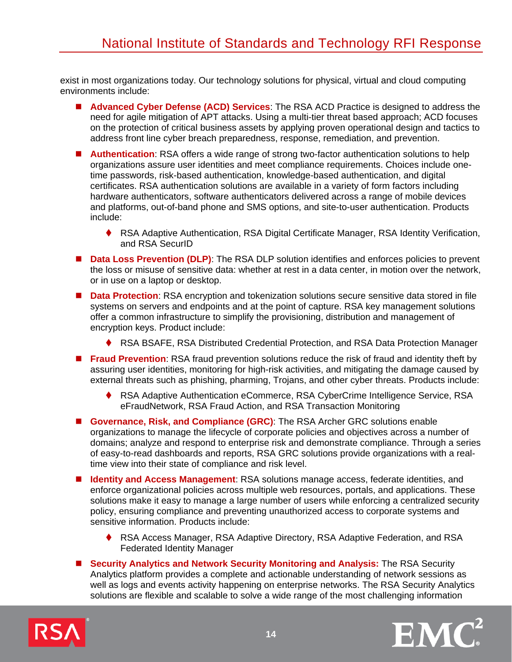exist in most organizations today. Our technology solutions for physical, virtual and cloud computing environments include:

- **Advanced Cyber Defense (ACD) Services**: The RSA ACD Practice is designed to address the need for agile mitigation of APT attacks. Using a multi-tier threat based approach; ACD focuses on the protection of critical business assets by applying proven operational design and tactics to address front line cyber breach preparedness, response, remediation, and prevention.
- **Authentication**: RSA offers a wide range of strong two-factor authentication solutions to help organizations assure user identities and meet compliance requirements. Choices include onetime passwords, risk-based authentication, knowledge-based authentication, and digital certificates. RSA authentication solutions are available in a variety of form factors including hardware authenticators, software authenticators delivered across a range of mobile devices and platforms, out-of-band phone and SMS options, and site-to-user authentication. Products include:
	- ◆ RSA Adaptive Authentication, RSA Digital Certificate Manager, RSA Identity Verification, and RSA SecurID
- **Data Loss Prevention (DLP):** The RSA DLP solution identifies and enforces policies to prevent the loss or misuse of sensitive data: whether at rest in a data center, in motion over the network, or in use on a laptop or desktop.
- **Data Protection**: RSA encryption and tokenization solutions secure sensitive data stored in file systems on servers and endpoints and at the point of capture. RSA key management solutions offer a common infrastructure to simplify the provisioning, distribution and management of encryption keys. Product include:
	- ◆ RSA BSAFE, RSA Distributed Credential Protection, and RSA Data Protection Manager
- **Fraud Prevention:** RSA fraud prevention solutions reduce the risk of fraud and identity theft by assuring user identities, monitoring for high-risk activities, and mitigating the damage caused by external threats such as phishing, pharming, Trojans, and other cyber threats. Products include:
	- RSA Adaptive Authentication eCommerce, RSA CyberCrime Intelligence Service, RSA eFraudNetwork, RSA Fraud Action, and RSA Transaction Monitoring
- **Governance, Risk, and Compliance (GRC)**: The RSA Archer GRC solutions enable organizations to manage the lifecycle of corporate policies and objectives across a number of domains; analyze and respond to enterprise risk and demonstrate compliance. Through a series of easy-to-read dashboards and reports, RSA GRC solutions provide organizations with a realtime view into their state of compliance and risk level.
- **Identity and Access Management**: RSA solutions manage access, federate identities, and enforce organizational policies across multiple web resources, portals, and applications. These solutions make it easy to manage a large number of users while enforcing a centralized security policy, ensuring compliance and preventing unauthorized access to corporate systems and sensitive information. Products include:
	- ◆ RSA Access Manager, RSA Adaptive Directory, RSA Adaptive Federation, and RSA Federated Identity Manager
- **Security Analytics and Network Security Monitoring and Analysis:** The RSA Security Analytics platform provides a complete and actionable understanding of network sessions as well as logs and events activity happening on enterprise networks. The RSA Security Analytics solutions are flexible and scalable to solve a wide range of the most challenging information



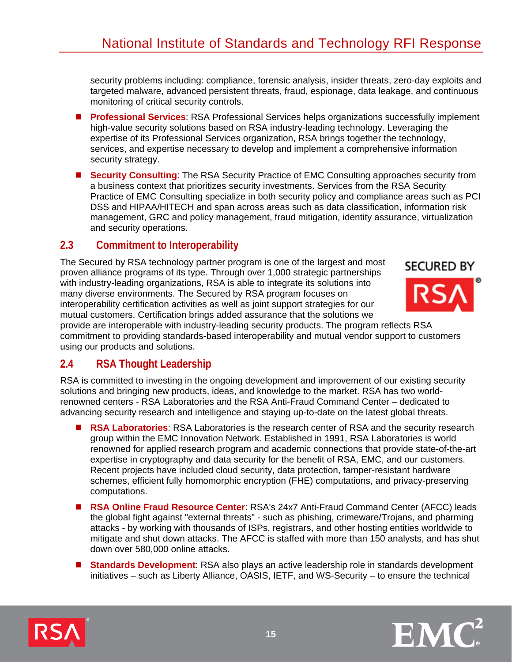security problems including: compliance, forensic analysis, insider threats, zero-day exploits and targeted malware, advanced persistent threats, fraud, espionage, data leakage, and continuous monitoring of critical security controls.

- **Professional Services:** RSA Professional Services helps organizations successfully implement high-value security solutions based on RSA industry-leading technology. Leveraging the expertise of its Professional Services organization, RSA brings together the technology, services, and expertise necessary to develop and implement a comprehensive information security strategy.
- **Security Consulting**: The RSA Security Practice of EMC Consulting approaches security from a business context that prioritizes security investments. Services from the RSA Security Practice of EMC Consulting specialize in both security policy and compliance areas such as PCI DSS and HIPAA/HITECH and span across areas such as data classification, information risk management, GRC and policy management, fraud mitigation, identity assurance, virtualization and security operations.

### <span id="page-20-0"></span>**2.3 Commitment to Interoperability**

The Secured by RSA technology partner program is one of the largest and most proven alliance programs of its type. Through over 1,000 strategic partnerships with industry-leading organizations, RSA is able to integrate its solutions into many diverse environments. The Secured by RSA program focuses on interoperability certification activities as well as joint support strategies for our mutual customers. Certification brings added assurance that the solutions we



provide are interoperable with industry-leading security products. The program reflects RSA commitment to providing standards-based interoperability and mutual vendor support to customers using our products and solutions.

### <span id="page-20-1"></span>**2.4 RSA Thought Leadership**

RSA is committed to investing in the ongoing development and improvement of our existing security solutions and bringing new products, ideas, and knowledge to the market. RSA has two worldrenowned centers - RSA Laboratories and the RSA Anti-Fraud Command Center – dedicated to advancing security research and intelligence and staying up-to-date on the latest global threats.

- RSA Laboratories: RSA Laboratories is the research center of RSA and the security research group within the EMC Innovation Network. Established in 1991, RSA Laboratories is world renowned for applied research program and academic connections that provide state-of-the-art expertise in cryptography and data security for the benefit of RSA, EMC, and our customers. Recent projects have included cloud security, data protection, tamper-resistant hardware schemes, efficient fully homomorphic encryption (FHE) computations, and privacy-preserving computations.
- **RSA Online Fraud Resource Center**: RSA's 24x7 Anti-Fraud Command Center (AFCC) leads the global fight against "external threats" - such as phishing, crimeware/Trojans, and pharming attacks - by working with thousands of ISPs, registrars, and other hosting entities worldwide to mitigate and shut down attacks. The AFCC is staffed with more than 150 analysts, and has shut down over 580,000 online attacks.
- **Standards Development**: RSA also plays an active leadership role in standards development initiatives – such as Liberty Alliance, OASIS, IETF, and WS-Security – to ensure the technical



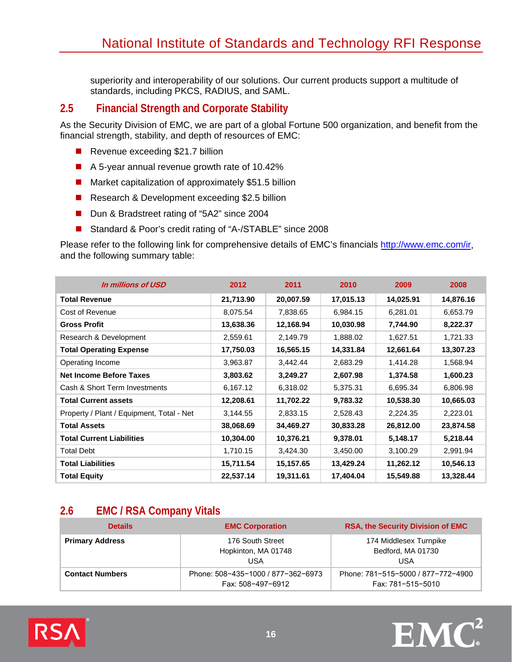superiority and interoperability of our solutions. Our current products support a multitude of standards, including PKCS, RADIUS, and SAML.

### <span id="page-21-0"></span>**2.5 Financial Strength and Corporate Stability**

As the Security Division of EMC, we are part of a global Fortune 500 organization, and benefit from the financial strength, stability, and depth of resources of EMC:

- Revenue exceeding \$21.7 billion
- A 5-year annual revenue growth rate of 10.42%
- Market capitalization of approximately \$51.5 billion
- Research & Development exceeding \$2.5 billion
- Dun & Bradstreet rating of "5A2" since 2004
- Standard & Poor's credit rating of "A-/STABLE" since 2008

Please refer to the following link for comprehensive details of EMC's financials [http://www.emc.com/ir,](http://www.emc.com/ir) and the following summary table:

| In millions of USD                        | 2012      | 2011      | 2010      | 2009      | 2008      |
|-------------------------------------------|-----------|-----------|-----------|-----------|-----------|
| <b>Total Revenue</b>                      | 21,713.90 | 20,007.59 | 17,015.13 | 14,025.91 | 14,876.16 |
| Cost of Revenue                           | 8,075.54  | 7,838.65  | 6,984.15  | 6,281.01  | 6,653.79  |
| <b>Gross Profit</b>                       | 13,638.36 | 12,168.94 | 10,030.98 | 7,744.90  | 8,222.37  |
| Research & Development                    | 2,559.61  | 2,149.79  | 1,888.02  | 1,627.51  | 1,721.33  |
| <b>Total Operating Expense</b>            | 17,750.03 | 16,565.15 | 14,331.84 | 12,661.64 | 13,307.23 |
| Operating Income                          | 3,963.87  | 3,442.44  | 2,683.29  | 1,414.28  | 1,568.94  |
| <b>Net Income Before Taxes</b>            | 3,803.62  | 3,249.27  | 2,607.98  | 1,374.58  | 1,600.23  |
| Cash & Short Term Investments             | 6,167.12  | 6,318.02  | 5,375.31  | 6,695.34  | 6,806.98  |
| <b>Total Current assets</b>               | 12,208.61 | 11,702.22 | 9,783.32  | 10,538.30 | 10,665.03 |
| Property / Plant / Equipment, Total - Net | 3,144.55  | 2,833.15  | 2,528.43  | 2,224.35  | 2,223.01  |
| <b>Total Assets</b>                       | 38,068.69 | 34,469.27 | 30,833.28 | 26,812.00 | 23,874.58 |
| <b>Total Current Liabilities</b>          | 10,304.00 | 10,376.21 | 9,378.01  | 5,148.17  | 5,218.44  |
| <b>Total Debt</b>                         | 1,710.15  | 3,424.30  | 3,450.00  | 3,100.29  | 2,991.94  |
| <b>Total Liabilities</b>                  | 15,711.54 | 15,157.65 | 13,429.24 | 11,262.12 | 10,546.13 |
| <b>Total Equity</b>                       | 22,537.14 | 19,311.61 | 17,404.04 | 15,549.88 | 13,328.44 |

### <span id="page-21-1"></span>**2.6 EMC / RSA Company Vitals**

| <b>Details</b>         | <b>EMC Corporation</b>                                  | <b>RSA, the Security Division of EMC</b>                |
|------------------------|---------------------------------------------------------|---------------------------------------------------------|
| <b>Primary Address</b> | 176 South Street<br>Hopkinton, MA 01748<br>USA          | 174 Middlesex Turnpike<br>Bedford, MA 01730<br>USA      |
| <b>Contact Numbers</b> | Phone: 508-435-1000 / 877-362-6973<br>Fax: 508-497-6912 | Phone: 781-515-5000 / 877-772-4900<br>Fax: 781-515-5010 |



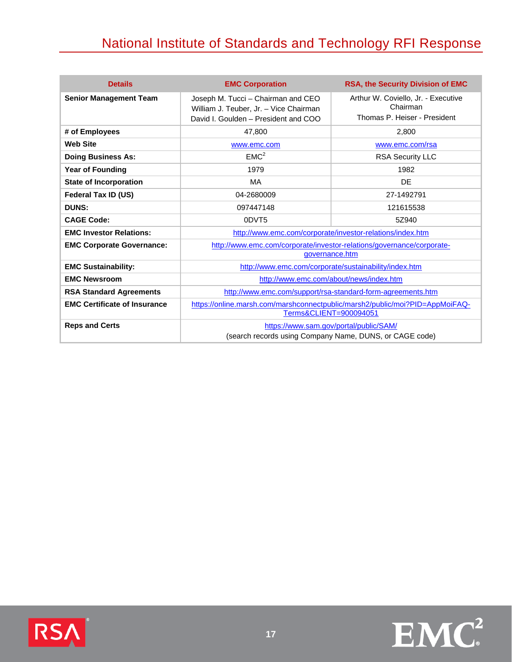# National Institute of Standards and Technology RFI Response

| <b>Details</b>                      | <b>EMC Corporation</b>                                                                                               | <b>RSA, the Security Division of EMC</b>                                        |  |  |  |
|-------------------------------------|----------------------------------------------------------------------------------------------------------------------|---------------------------------------------------------------------------------|--|--|--|
| <b>Senior Management Team</b>       | Joseph M. Tucci - Chairman and CEO<br>William J. Teuber, Jr. - Vice Chairman<br>David I. Goulden - President and COO | Arthur W. Coviello, Jr. - Executive<br>Chairman<br>Thomas P. Heiser - President |  |  |  |
| # of Employees                      | 47,800                                                                                                               | 2,800                                                                           |  |  |  |
| <b>Web Site</b>                     | www.emc.com                                                                                                          | www.emc.com/rsa                                                                 |  |  |  |
| <b>Doing Business As:</b>           | EMC <sup>2</sup>                                                                                                     | <b>RSA Security LLC</b>                                                         |  |  |  |
| <b>Year of Founding</b>             | 1979                                                                                                                 | 1982                                                                            |  |  |  |
| <b>State of Incorporation</b>       | MA                                                                                                                   | DE                                                                              |  |  |  |
| Federal Tax ID (US)                 | 04-2680009                                                                                                           | 27-1492791                                                                      |  |  |  |
| <b>DUNS:</b>                        | 097447148                                                                                                            | 121615538                                                                       |  |  |  |
| <b>CAGE Code:</b>                   | 0DVT5                                                                                                                | 5Z940                                                                           |  |  |  |
| <b>EMC Investor Relations:</b>      | http://www.emc.com/corporate/investor-relations/index.htm                                                            |                                                                                 |  |  |  |
| <b>EMC Corporate Governance:</b>    | http://www.emc.com/corporate/investor-relations/governance/corporate-<br>governance.htm                              |                                                                                 |  |  |  |
| <b>EMC Sustainability:</b>          | http://www.emc.com/corporate/sustainability/index.htm                                                                |                                                                                 |  |  |  |
| <b>EMC Newsroom</b>                 | http://www.emc.com/about/news/index.htm                                                                              |                                                                                 |  |  |  |
| <b>RSA Standard Agreements</b>      | http://www.emc.com/support/rsa-standard-form-agreements.htm                                                          |                                                                                 |  |  |  |
| <b>EMC Certificate of Insurance</b> | https://online.marsh.com/marshconnectpublic/marsh2/public/moi?PID=AppMoiFAQ-<br>Terms&CLIENT=900094051               |                                                                                 |  |  |  |
| <b>Reps and Certs</b>               | https://www.sam.gov/portal/public/SAM/<br>(search records using Company Name, DUNS, or CAGE code)                    |                                                                                 |  |  |  |